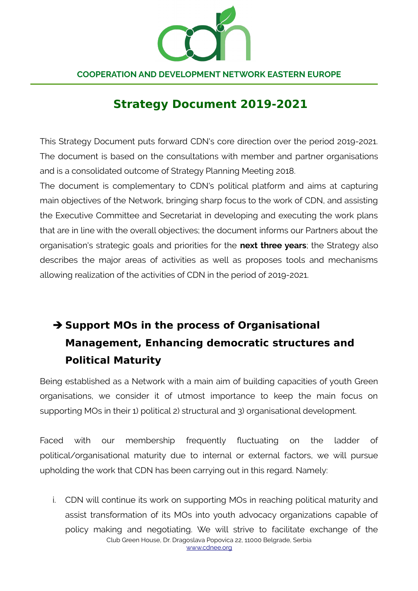

# **Strategy Document 2019-2021**

This Strategy Document puts forward CDN's core direction over the period 2019-2021. The document is based on the consultations with member and partner organisations and is a consolidated outcome of Strategy Planning Meeting 2018.

The document is complementary to CDN's political platform and aims at capturing main objectives of the Network, bringing sharp focus to the work of CDN, and assisting the Executive Committee and Secretariat in developing and executing the work plans that are in line with the overall objectives; the document informs our Partners about the organisation's strategic goals and priorities for the **next three years**; the Strategy also describes the major areas of activities as well as proposes tools and mechanisms allowing realization of the activities of CDN in the period of 2019-2021.

# ➔ **Support MOs in the process of Organisational Management, Enhancing democratic structures and Political Maturity**

Being established as a Network with a main aim of building capacities of youth Green organisations, we consider it of utmost importance to keep the main focus on supporting MOs in their 1) political 2) structural and 3) organisational development.

Faced with our membership frequently fluctuating on the ladder of political/organisational maturity due to internal or external factors, we will pursue upholding the work that CDN has been carrying out in this regard. Namely:

i. CDN will continue its work on supporting MOs in reaching political maturity and assist transformation of its MOs into youth advocacy organizations capable of policy making and negotiating. We will strive to facilitate exchange of the Club Green House, Dr. Dragoslava Popovica 22, 11000 Belgrade, Serbia [www.cdnee.org](http://www.cdnee.org/)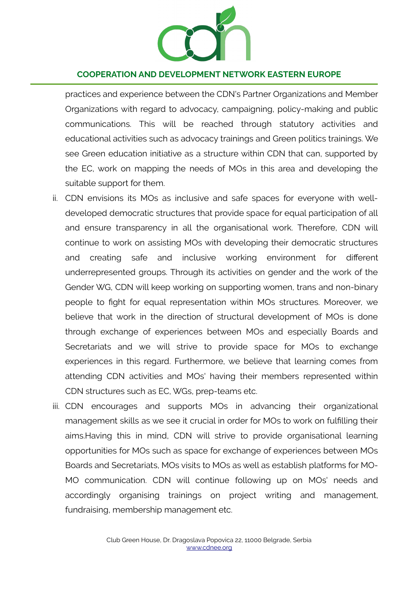

practices and experience between the CDN's Partner Organizations and Member Organizations with regard to advocacy, campaigning, policy-making and public communications. This will be reached through statutory activities and educational activities such as advocacy trainings and Green politics trainings. We see Green education initiative as a structure within CDN that can, supported by the EC, work on mapping the needs of MOs in this area and developing the suitable support for them.

- ii. CDN envisions its MOs as inclusive and safe spaces for everyone with welldeveloped democratic structures that provide space for equal participation of all and ensure transparency in all the organisational work. Therefore, CDN will continue to work on assisting MOs with developing their democratic structures and creating safe and inclusive working environment for different underrepresented groups. Through its activities on gender and the work of the Gender WG, CDN will keep working on supporting women, trans and non-binary people to fight for equal representation within MOs structures. Moreover, we believe that work in the direction of structural development of MOs is done through exchange of experiences between MOs and especially Boards and Secretariats and we will strive to provide space for MOs to exchange experiences in this regard. Furthermore, we believe that learning comes from attending CDN activities and MOs' having their members represented within CDN structures such as EC, WGs, prep-teams etc.
- iii. CDN encourages and supports MOs in advancing their organizational management skills as we see it crucial in order for MOs to work on fulfilling their aims.Having this in mind, CDN will strive to provide organisational learning opportunities for MOs such as space for exchange of experiences between MOs Boards and Secretariats, MOs visits to MOs as well as establish platforms for MO-MO communication. CDN will continue following up on MOs' needs and accordingly organising trainings on project writing and management, fundraising, membership management etc.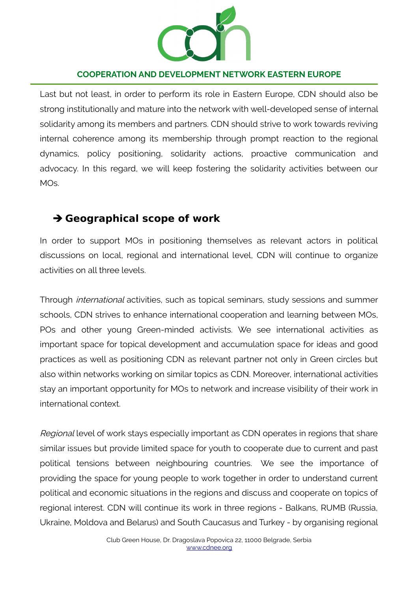

Last but not least, in order to perform its role in Eastern Europe, CDN should also be strong institutionally and mature into the network with well-developed sense of internal solidarity among its members and partners. CDN should strive to work towards reviving internal coherence among its membership through prompt reaction to the regional dynamics, policy positioning, solidarity actions, proactive communication and advocacy. In this regard, we will keep fostering the solidarity activities between our MOs.

## ➔ **Geographical scope of work**

In order to support MOs in positioning themselves as relevant actors in political discussions on local, regional and international level, CDN will continue to organize activities on all three levels.

Through international activities, such as topical seminars, study sessions and summer schools, CDN strives to enhance international cooperation and learning between MOs, POs and other young Green-minded activists. We see international activities as important space for topical development and accumulation space for ideas and good practices as well as positioning CDN as relevant partner not only in Green circles but also within networks working on similar topics as CDN. Moreover, international activities stay an important opportunity for MOs to network and increase visibility of their work in international context.

Regional level of work stays especially important as CDN operates in regions that share similar issues but provide limited space for youth to cooperate due to current and past political tensions between neighbouring countries. We see the importance of providing the space for young people to work together in order to understand current political and economic situations in the regions and discuss and cooperate on topics of regional interest. CDN will continue its work in three regions - Balkans, RUMB (Russia, Ukraine, Moldova and Belarus) and South Caucasus and Turkey - by organising regional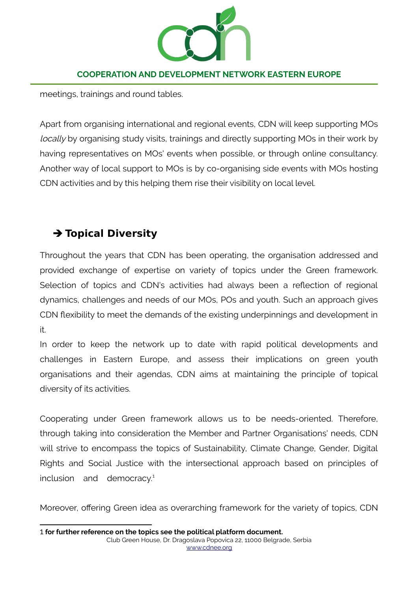

meetings, trainings and round tables.

Apart from organising international and regional events, CDN will keep supporting MOs locally by organising study visits, trainings and directly supporting MOs in their work by having representatives on MOs' events when possible, or through online consultancy. Another way of local support to MOs is by co-organising side events with MOs hosting CDN activities and by this helping them rise their visibility on local level.

# ➔ **Topical Diversity**

Throughout the years that CDN has been operating, the organisation addressed and provided exchange of expertise on variety of topics under the Green framework. Selection of topics and CDN's activities had always been a reflection of regional dynamics, challenges and needs of our MOs, POs and youth. Such an approach gives CDN flexibility to meet the demands of the existing underpinnings and development in it.

In order to keep the network up to date with rapid political developments and challenges in Eastern Europe, and assess their implications on green youth organisations and their agendas, CDN aims at maintaining the principle of topical diversity of its activities.

Cooperating under Green framework allows us to be needs-oriented. Therefore, through taking into consideration the Member and Partner Organisations' needs, CDN will strive to encompass the topics of Sustainability, Climate Change, Gender, Digital Rights and Social Justice with the intersectional approach based on principles of inclusion and democracy.<sup>[1](#page-3-0)</sup>

<span id="page-3-0"></span>Moreover, offering Green idea as overarching framework for the variety of topics, CDN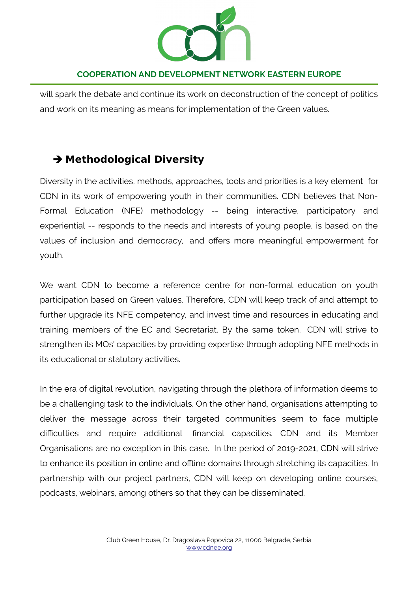

will spark the debate and continue its work on deconstruction of the concept of politics and work on its meaning as means for implementation of the Green values.

# ➔ **Methodological Diversity**

Diversity in the activities, methods, approaches, tools and priorities is a key element for CDN in its work of empowering youth in their communities. CDN believes that Non-Formal Education (NFE) methodology -- being interactive, participatory and experiential -- responds to the needs and interests of young people, is based on the values of inclusion and democracy, and offers more meaningful empowerment for youth.

We want CDN to become a reference centre for non-formal education on youth participation based on Green values. Therefore, CDN will keep track of and attempt to further upgrade its NFE competency, and invest time and resources in educating and training members of the EC and Secretariat. By the same token, CDN will strive to strengthen its MOs' capacities by providing expertise through adopting NFE methods in its educational or statutory activities.

In the era of digital revolution, navigating through the plethora of information deems to be a challenging task to the individuals. On the other hand, organisations attempting to deliver the message across their targeted communities seem to face multiple difficulties and require additional financial capacities. CDN and its Member Organisations are no exception in this case. In the period of 2019-2021, CDN will strive to enhance its position in online and offline domains through stretching its capacities. In partnership with our project partners, CDN will keep on developing online courses, podcasts, webinars, among others so that they can be disseminated.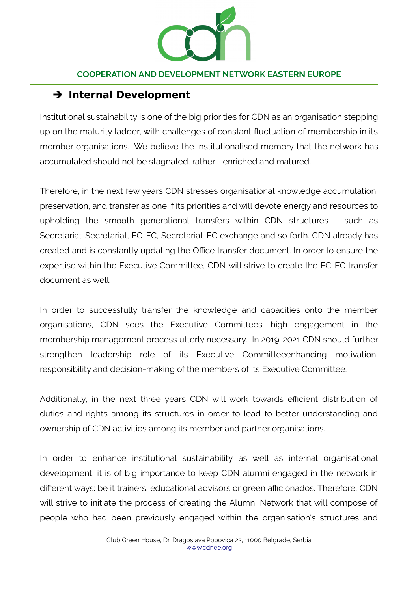

### ➔ **Internal Development**

Institutional sustainability is one of the big priorities for CDN as an organisation stepping up on the maturity ladder, with challenges of constant fluctuation of membership in its member organisations. We believe the institutionalised memory that the network has accumulated should not be stagnated, rather - enriched and matured.

Therefore, in the next few years CDN stresses organisational knowledge accumulation, preservation, and transfer as one if its priorities and will devote energy and resources to upholding the smooth generational transfers within CDN structures - such as Secretariat-Secretariat, EC-EC, Secretariat-EC exchange and so forth. CDN already has created and is constantly updating the Office transfer document. In order to ensure the expertise within the Executive Committee, CDN will strive to create the EC-EC transfer document as well.

In order to successfully transfer the knowledge and capacities onto the member organisations, CDN sees the Executive Committees' high engagement in the membership management process utterly necessary. In 2019-2021 CDN should further strengthen leadership role of its Executive Committeeenhancing motivation, responsibility and decision-making of the members of its Executive Committee.

Additionally, in the next three years CDN will work towards efficient distribution of duties and rights among its structures in order to lead to better understanding and ownership of CDN activities among its member and partner organisations.

In order to enhance institutional sustainability as well as internal organisational development, it is of big importance to keep CDN alumni engaged in the network in different ways: be it trainers, educational advisors or green afficionados. Therefore, CDN will strive to initiate the process of creating the Alumni Network that will compose of people who had been previously engaged within the organisation's structures and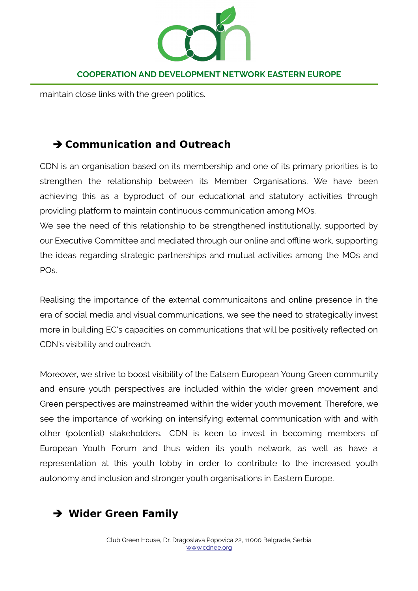

maintain close links with the green politics.

## ➔ **Communication and Outreach**

CDN is an organisation based on its membership and one of its primary priorities is to strengthen the relationship between its Member Organisations. We have been achieving this as a byproduct of our educational and statutory activities through providing platform to maintain continuous communication among MOs.

We see the need of this relationship to be strengthened institutionally, supported by our Executive Committee and mediated through our online and offline work, supporting the ideas regarding strategic partnerships and mutual activities among the MOs and POs.

Realising the importance of the external communicaitons and online presence in the era of social media and visual communications, we see the need to strategically invest more in building EC's capacities on communications that will be positively reflected on CDN's visibility and outreach.

Moreover, we strive to boost visibility of the Eatsern European Young Green community and ensure youth perspectives are included within the wider green movement and Green perspectives are mainstreamed within the wider youth movement. Therefore, we see the importance of working on intensifying external communication with and with other (potential) stakeholders. CDN is keen to invest in becoming members of European Youth Forum and thus widen its youth network, as well as have a representation at this youth lobby in order to contribute to the increased youth autonomy and inclusion and stronger youth organisations in Eastern Europe.

# ➔ **Wider Green Family**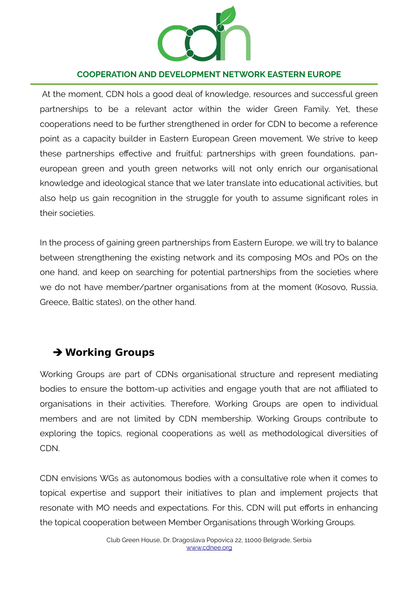

At the moment, CDN hols a good deal of knowledge, resources and successful green partnerships to be a relevant actor within the wider Green Family. Yet, these cooperations need to be further strengthened in order for CDN to become a reference point as a capacity builder in Eastern European Green movement. We strive to keep these partnerships effective and fruitful: partnerships with green foundations, paneuropean green and youth green networks will not only enrich our organisational knowledge and ideological stance that we later translate into educational activities, but also help us gain recognition in the struggle for youth to assume significant roles in their societies.

In the process of gaining green partnerships from Eastern Europe, we will try to balance between strengthening the existing network and its composing MOs and POs on the one hand, and keep on searching for potential partnerships from the societies where we do not have member/partner organisations from at the moment (Kosovo, Russia, Greece, Baltic states), on the other hand.

### ➔ **Working Groups**

Working Groups are part of CDNs organisational structure and represent mediating bodies to ensure the bottom-up activities and engage youth that are not affiliated to organisations in their activities. Therefore, Working Groups are open to individual members and are not limited by CDN membership. Working Groups contribute to exploring the topics, regional cooperations as well as methodological diversities of CDN.

CDN envisions WGs as autonomous bodies with a consultative role when it comes to topical expertise and support their initiatives to plan and implement projects that resonate with MO needs and expectations. For this, CDN will put efforts in enhancing the topical cooperation between Member Organisations through Working Groups.